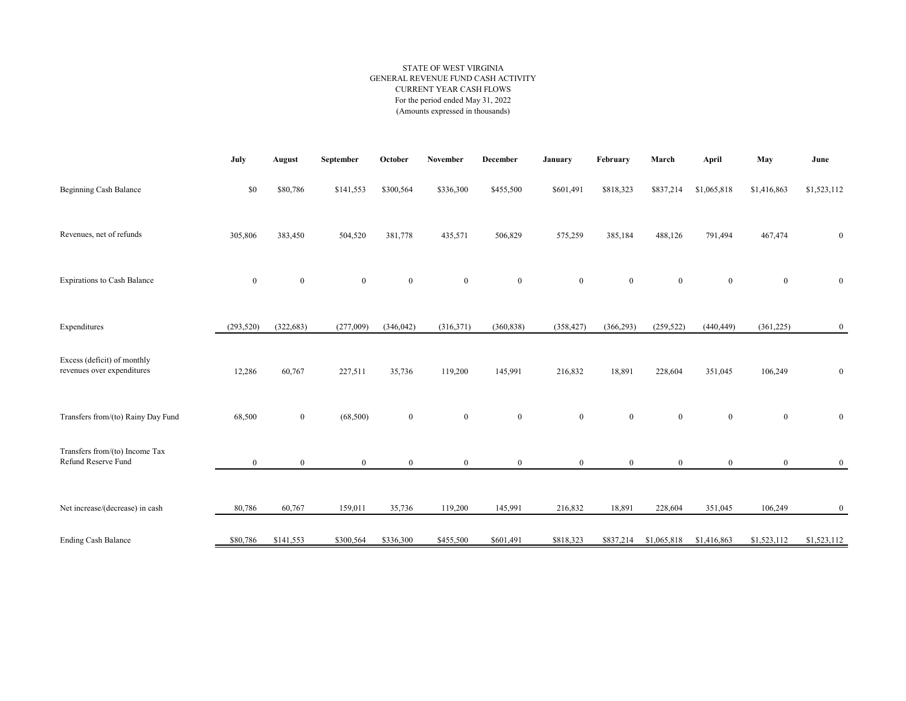## STATE OF WEST VIRGINIA GENERAL REVENUE FUND CASH ACTIVITY CURRENT YEAR CASH FLOWS For the period ended May 31, 2022 (Amounts expressed in thousands)

|                                                           | July             | August           | September        | October      | November         | December         | January      | February     | March          | April        | May          | June             |
|-----------------------------------------------------------|------------------|------------------|------------------|--------------|------------------|------------------|--------------|--------------|----------------|--------------|--------------|------------------|
| Beginning Cash Balance                                    | \$0              | \$80,786         | \$141,553        | \$300,564    | \$336,300        | \$455,500        | \$601,491    | \$818,323    | \$837,214      | \$1,065,818  | \$1,416,863  | \$1,523,112      |
| Revenues, net of refunds                                  | 305,806          | 383,450          | 504,520          | 381,778      | 435,571          | 506,829          | 575,259      | 385,184      | 488,126        | 791,494      | 467,474      | $\bf{0}$         |
| <b>Expirations to Cash Balance</b>                        | $\boldsymbol{0}$ | $\boldsymbol{0}$ | $\boldsymbol{0}$ | $\mathbf{0}$ | $\boldsymbol{0}$ | $\boldsymbol{0}$ | $\bf{0}$     | $\bf{0}$     | $\mathbf{0}$   | $\mathbf{0}$ | $\mathbf{0}$ | $\bf{0}$         |
| Expenditures                                              | (293, 520)       | (322, 683)       | (277,009)        | (346, 042)   | (316,371)        | (360, 838)       | (358, 427)   | (366, 293)   | (259, 522)     | (440, 449)   | (361, 225)   | $\mathbf{0}$     |
| Excess (deficit) of monthly<br>revenues over expenditures | 12,286           | 60,767           | 227,511          | 35,736       | 119,200          | 145,991          | 216,832      | 18,891       | 228,604        | 351,045      | 106,249      | $\boldsymbol{0}$ |
| Transfers from/(to) Rainy Day Fund                        | 68,500           | $\mathbf{0}$     | (68, 500)        | $\mathbf{0}$ | $\bf{0}$         | $\mathbf{0}$     | $\mathbf{0}$ | $\mathbf{0}$ | $\overline{0}$ | $\mathbf{0}$ | $\mathbf{0}$ | $\boldsymbol{0}$ |
| Transfers from/(to) Income Tax<br>Refund Reserve Fund     | $\overline{0}$   | $\mathbf{0}$     | $\mathbf{0}$     | $\mathbf{0}$ | $\mathbf{0}$     | $\overline{0}$   | $\mathbf{0}$ | $\mathbf{0}$ | $\overline{0}$ | $\mathbf{0}$ | $\mathbf{0}$ | $\bf{0}$         |
| Net increase/(decrease) in cash                           | 80,786           | 60,767           | 159,011          | 35,736       | 119,200          | 145,991          | 216,832      | 18,891       | 228,604        | 351,045      | 106,249      | $\mathbf{0}$     |
| <b>Ending Cash Balance</b>                                | \$80,786         | \$141,553        | \$300,564        | \$336,300    | \$455,500        | \$601,491        | \$818,323    | \$837,214    | \$1,065,818    | \$1,416,863  | \$1,523,112  | \$1,523,112      |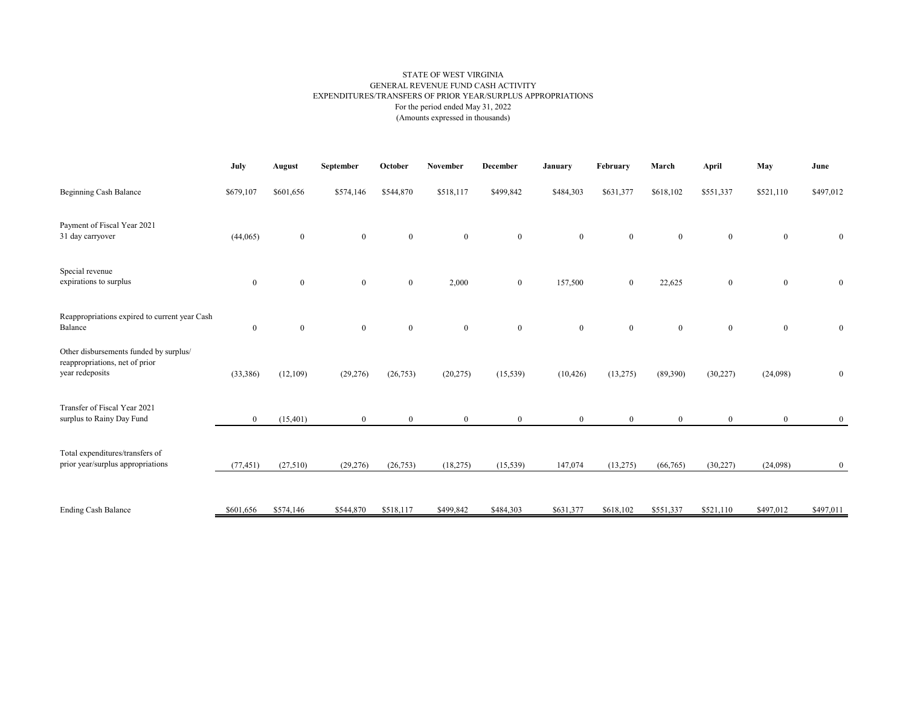## STATE OF WEST VIRGINIA GENERAL REVENUE FUND CASH ACTIVITY EXPENDITURES/TRANSFERS OF PRIOR YEAR/SURPLUS APPROPRIATIONS For the period ended May 31, 2022 (Amounts expressed in thousands)

|                                                                                             | July         | August           | September        | October        | November     | December         | January        | February       | March          | <b>April</b>     | May            | June             |
|---------------------------------------------------------------------------------------------|--------------|------------------|------------------|----------------|--------------|------------------|----------------|----------------|----------------|------------------|----------------|------------------|
| Beginning Cash Balance                                                                      | \$679,107    | \$601,656        | \$574,146        | \$544,870      | \$518,117    | \$499,842        | \$484,303      | \$631,377      | \$618,102      | \$551,337        | \$521,110      | \$497,012        |
| Payment of Fiscal Year 2021<br>31 day carryover                                             | (44,065)     | $\bf{0}$         | $\mathbf{0}$     | $\mathbf{0}$   | $\mathbf{0}$ | $\bf{0}$         | $\mathbf{0}$   | $\mathbf{0}$   | $\mathbf{0}$   | $\boldsymbol{0}$ | $\overline{0}$ | $\boldsymbol{0}$ |
| Special revenue<br>expirations to surplus                                                   | $\bf{0}$     | $\boldsymbol{0}$ | $\boldsymbol{0}$ | $\mathbf{0}$   | 2,000        | $\boldsymbol{0}$ | 157,500        | $\mathbf{0}$   | 22,625         | $\boldsymbol{0}$ | $\overline{0}$ | $\boldsymbol{0}$ |
| Reappropriations expired to current year Cash<br>Balance                                    | $\bf{0}$     | $\mathbf{0}$     | $\mathbf{0}$     | $\overline{0}$ | $\mathbf{0}$ | $\boldsymbol{0}$ | $\bf{0}$       | $\mathbf{0}$   | $\overline{0}$ | $\boldsymbol{0}$ | $\overline{0}$ | $\boldsymbol{0}$ |
| Other disbursements funded by surplus/<br>reappropriations, net of prior<br>year redeposits | (33, 386)    | (12,109)         | (29, 276)        | (26, 753)      | (20, 275)    | (15, 539)        | (10, 426)      | (13,275)       | (89,390)       | (30, 227)        | (24,098)       | $\bf{0}$         |
| Transfer of Fiscal Year 2021<br>surplus to Rainy Day Fund                                   | $\mathbf{0}$ | (15, 401)        | $\mathbf{0}$     | $\overline{0}$ | $\mathbf{0}$ | $\mathbf{0}$     | $\overline{0}$ | $\overline{0}$ | $\overline{0}$ | $\mathbf{0}$     | $\overline{0}$ | $\mathbf{0}$     |
| Total expenditures/transfers of<br>prior year/surplus appropriations                        | (77, 451)    | (27,510)         | (29, 276)        | (26, 753)      | (18,275)     | (15, 539)        | 147,074        | (13,275)       | (66,765)       | (30,227)         | (24,098)       | $\bf{0}$         |
| <b>Ending Cash Balance</b>                                                                  | \$601,656    | \$574,146        | \$544,870        | \$518,117      | \$499,842    | \$484,303        | \$631,377      | \$618,102      | \$551,337      | \$521,110        | \$497,012      | \$497,011        |